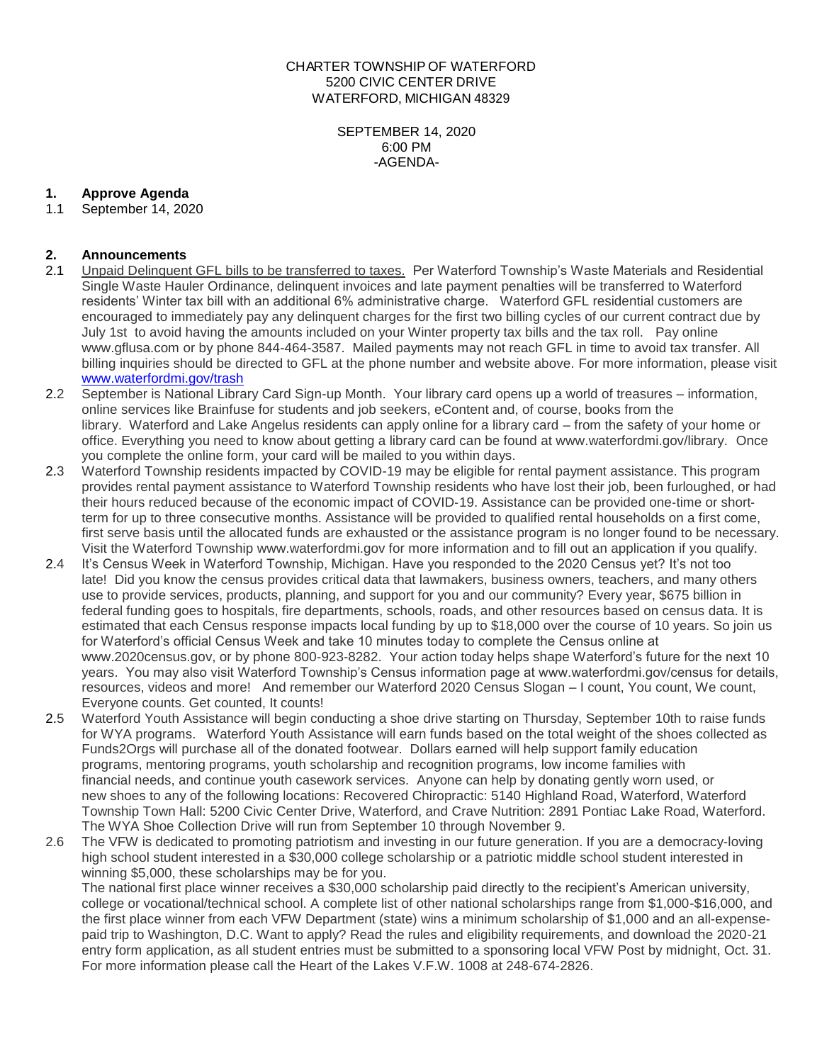CHARTER TOWNSHIP OF WATERFORD 5200 CIVIC CENTER DRIVE WATERFORD, MICHIGAN 48329

> SEPTEMBER 14, 2020 6:00 PM -AGENDA-

## **1. Approve Agenda**

1.1 September 14, 2020

## **2. Announcements**

- 2.1 Unpaid Delinquent GFL bills to be transferred to taxes. Per Waterford Township's Waste Materials and Residential Single Waste Hauler Ordinance, delinquent invoices and late payment penalties will be transferred to Waterford residents' Winter tax bill with an additional 6% administrative charge. Waterford GFL residential customers are encouraged to immediately pay any delinquent charges for the first two billing cycles of our current contract due by July 1st to avoid having the amounts included on your Winter property tax bills and the tax roll. Pay online www.gflusa.com or by phone 844-464-3587. Mailed payments may not reach GFL in time to avoid tax transfer. All billing inquiries should be directed to GFL at the phone number and website above. For more information, please visit [www.waterfordmi.gov/trash](http://www.waterfordmi.gov/trash)
- 2.2 September is National Library Card Sign-up Month. Your library card opens up a world of treasures information, online services like Brainfuse for students and job seekers, eContent and, of course, books from the library. Waterford and Lake Angelus residents can apply online for a library card – from the safety of your home or office. Everything you need to know about getting a library card can be found at www.waterfordmi.gov/library. Once you complete the online form, your card will be mailed to you within days.
- 2.3 Waterford Township residents impacted by COVID-19 may be eligible for rental payment assistance. This program provides rental payment assistance to Waterford Township residents who have lost their job, been furloughed, or had their hours reduced because of the economic impact of COVID-19. Assistance can be provided one-time or shortterm for up to three consecutive months. Assistance will be provided to qualified rental households on a first come, first serve basis until the allocated funds are exhausted or the assistance program is no longer found to be necessary. Visit the Waterford Township www.waterfordmi.gov for more information and to fill out an application if you qualify.
- 2.4 It's Census Week in Waterford Township, Michigan. Have you responded to the 2020 Census yet? It's not too late! Did you know the census provides critical data that lawmakers, business owners, teachers, and many others use to provide services, products, planning, and support for you and our community? Every year, \$675 billion in federal funding goes to hospitals, fire departments, schools, roads, and other resources based on census data. It is estimated that each Census response impacts local funding by up to \$18,000 over the course of 10 years. So join us for Waterford's official Census Week and take 10 minutes today to complete the Census online at www.2020census.gov, or by phone 800-923-8282. Your action today helps shape Waterford's future for the next 10 years. You may also visit Waterford Township's Census information page at www.waterfordmi.gov/census for details, resources, videos and more! And remember our Waterford 2020 Census Slogan – I count, You count, We count, Everyone counts. Get counted, It counts!
- 2.5 Waterford Youth Assistance will begin conducting a shoe drive starting on Thursday, September 10th to raise funds for WYA programs. Waterford Youth Assistance will earn funds based on the total weight of the shoes collected as Funds2Orgs will purchase all of the donated footwear. Dollars earned will help support family education programs, mentoring programs, youth scholarship and recognition programs, low income families with financial needs, and continue youth casework services. Anyone can help by donating gently worn used, or new shoes to any of the following locations: Recovered Chiropractic: 5140 Highland Road, Waterford, Waterford Township Town Hall: 5200 Civic Center Drive, Waterford, and Crave Nutrition: 2891 Pontiac Lake Road, Waterford. The WYA Shoe Collection Drive will run from September 10 through November 9.
- 2.6 The VFW is dedicated to promoting patriotism and investing in our future generation. If you are a democracy-loving high school student interested in a \$30,000 college scholarship or a patriotic middle school student interested in winning \$5,000, these scholarships may be for you.

The national first place winner receives a \$30,000 scholarship paid directly to the recipient's American university, college or vocational/technical school. A complete list of other national scholarships range from \$1,000-\$16,000, and the first place winner from each VFW Department (state) wins a minimum scholarship of \$1,000 and an all-expensepaid trip to Washington, D.C. Want to apply? Read the rules and eligibility requirements, and download the 2020-21 entry form application, as all student entries must be submitted to a sponsoring local VFW Post by midnight, Oct. 31. For more information please call the Heart of the Lakes V.F.W. 1008 at 248-674-2826.